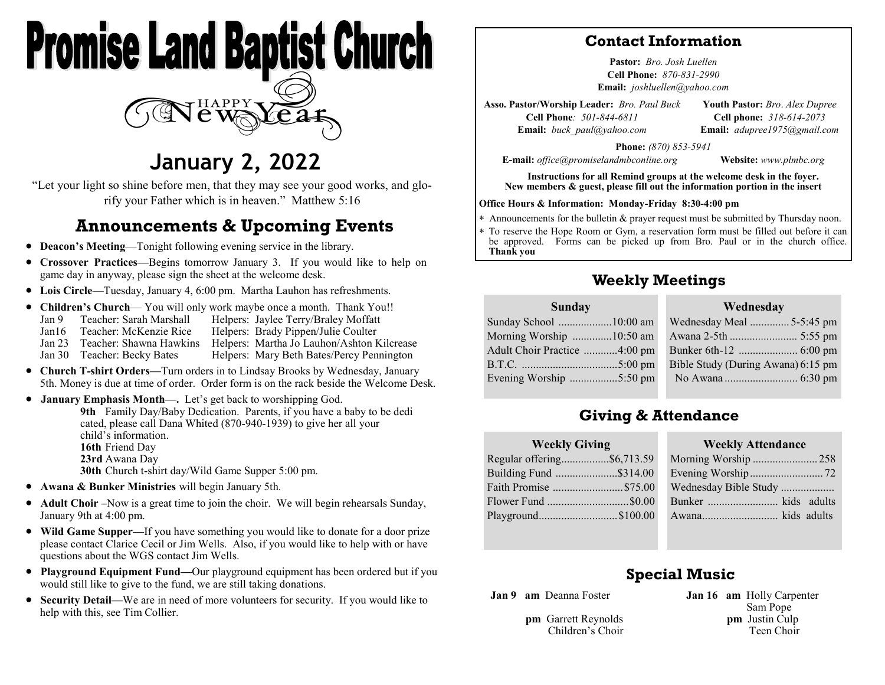

# **January 2, 2022**

"Let your light so shine before men, that they may see your good works, and glorify your Father which is in heaven." Matthew 5:16

## **Announcements & Upcoming Events**

- **Deacon's Meeting**—Tonight following evening service in the library.
- **Crossover Practices—**Begins tomorrow January 3. If you would like to help on game day in anyway, please sign the sheet at the welcome desk.
- **Lois Circle**—Tuesday, January 4, 6:00 pm. Martha Lauhon has refreshments.
- **Children's Church** You will only work maybe once a month. Thank You!! Jan 9 Teacher: Sarah Marshall Helpers: Jaylee Terry/Braley Moffatt Jan16 Teacher: McKenzie Rice Helpers: Brady Pippen/Julie Coulter Jan 23 Teacher: Shawna Hawkins Helpers: Martha Jo Lauhon/Ashton Kilcrease Jan 30 Teacher: Becky Bates Helpers: Mary Beth Bates/Percy Pennington
- **Church T-shirt Orders—**Turn orders in to Lindsay Brooks by Wednesday, January 5th. Money is due at time of order. Order form is on the rack beside the Welcome Desk.
- **January Emphasis Month—.** Let's get back to worshipping God.

**9th** Family Day/Baby Dedication. Parents, if you have a baby to be dedi cated, please call Dana Whited (870-940-1939) to give her all your child's information. **16th** Friend Day **23rd** Awana Day **30th** Church t-shirt day/Wild Game Supper 5:00 pm.

- **Awana & Bunker Ministries** will begin January 5th.
- **Adult Choir –**Now is a great time to join the choir. We will begin rehearsals Sunday, January 9th at 4:00 pm.
- **Wild Game Supper—**If you have something you would like to donate for a door prize please contact Clarice Cecil or Jim Wells. Also, if you would like to help with or have questions about the WGS contact Jim Wells.
- **Playground Equipment Fund—**Our playground equipment has been ordered but if you would still like to give to the fund, we are still taking donations.
- **Security Detail—**We are in need of more volunteers for security. If you would like to help with this, see Tim Collier.

### **Contact Information**

**Pastor:** *Bro. Josh Luellen* **Cell Phone:** *870-831-2990* **Email:** *joshluellen@yahoo.com* 

**Asso. Pastor/Worship Leader:** *Bro. Paul Buck* **Cell Phone***: 501-844-6811* **Email:** *buck\_paul@yahoo.com* **Youth Pastor:** *Bro*. *Alex Dupree* **Cell phone:** *318-614-2073* **Email:** *adupree1975@gmail.com*

**Phone:** *(870) 853-5941*

**E-mail:** *office@promiselandmbconline.org* **Website:** *www.plmbc.org*

**Instructions for all Remind groups at the welcome desk in the foyer. New members & guest, please fill out the information portion in the insert**

#### **Office Hours & Information: Monday-Friday 8:30-4:00 pm**

- Announcements for the bulletin & prayer request must be submitted by Thursday noon.
- To reserve the Hope Room or Gym, a reservation form must be filled out before it can be approved. Forms can be picked up from Bro. Paul or in the church office. **Thank you**

## **Weekly Meetings**

#### **Sunday**

| Sunday School 10:00 am       |
|------------------------------|
| Morning Worship 10:50 am     |
| Adult Choir Practice 4:00 pm |
|                              |
| Evening Worship 5:50 pm      |
|                              |

| <i>v</i> eunesuav                  |  |
|------------------------------------|--|
| Wednesday Meal  5-5:45 pm          |  |
|                                    |  |
|                                    |  |
| Bible Study (During Awana) 6:15 pm |  |
|                                    |  |

**Wednesday**

## **Giving & Attendance**

| <b>Weekly Giving</b>       |  |  |
|----------------------------|--|--|
| Regular offering\$6,713.59 |  |  |
| Building Fund \$314.00     |  |  |
| Faith Promise \$75.00      |  |  |
|                            |  |  |
| Playground\$100.00         |  |  |
|                            |  |  |

| <b>Weekly Attendance</b> |  |  |  |
|--------------------------|--|--|--|
| Morning Worship 258      |  |  |  |
|                          |  |  |  |
| Wednesday Bible Study    |  |  |  |
| Bunker  kids adults      |  |  |  |
| Awana kids adults        |  |  |  |

### **Special Music**

**Jan 9 am** Deanna Foster

**pm** Garrett Reynolds Children's Choir **Jan 16 am** Holly Carpenter Sam Pope  **pm** Justin Culp Teen Choir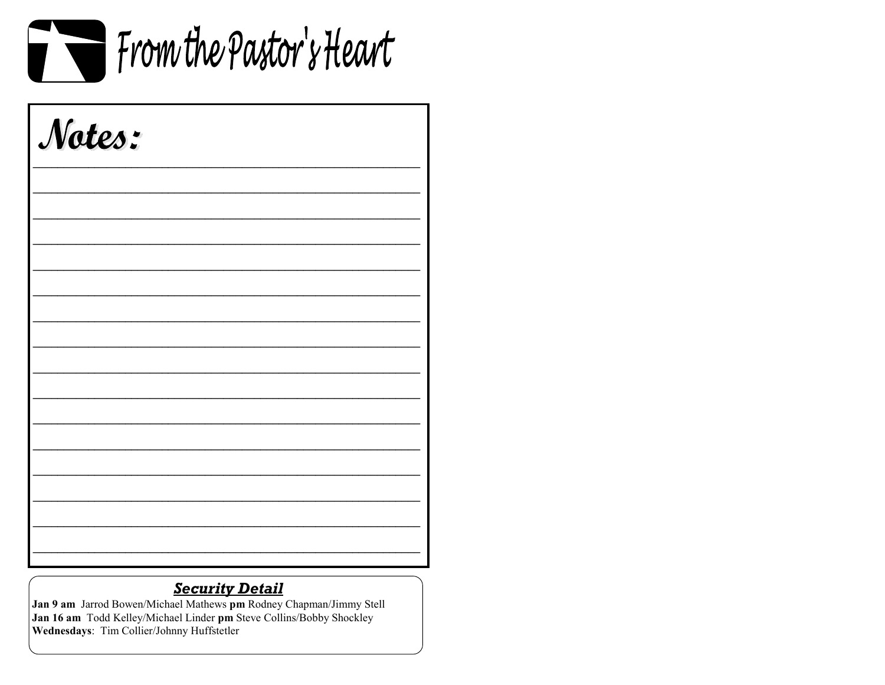

| Notes: |  |  |
|--------|--|--|
|        |  |  |
|        |  |  |
|        |  |  |
|        |  |  |
|        |  |  |
|        |  |  |
|        |  |  |
|        |  |  |
|        |  |  |

## **Security Detail**

Jan 9 am Jarrod Bowen/Michael Mathews pm Rodney Chapman/Jimmy Stell Jan 16 am Todd Kelley/Michael Linder pm Steve Collins/Bobby Shockley Wednesdays: Tim Collier/Johnny Huffstetler